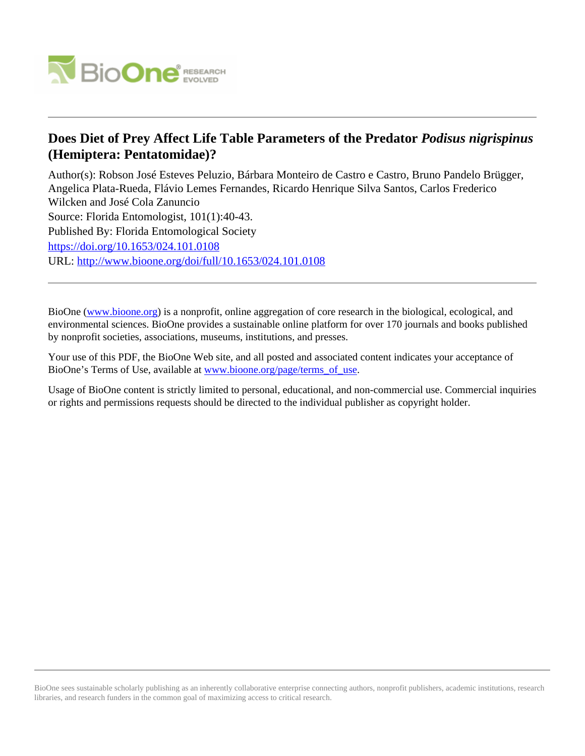

# **Does Diet of Prey Affect Life Table Parameters of the Predator** *Podisus nigrispinus* **(Hemiptera: Pentatomidae)?**

Author(s): Robson José Esteves Peluzio, Bárbara Monteiro de Castro e Castro, Bruno Pandelo Brügger, Angelica Plata-Rueda, Flávio Lemes Fernandes, Ricardo Henrique Silva Santos, Carlos Frederico Wilcken and José Cola Zanuncio Source: Florida Entomologist, 101(1):40-43. Published By: Florida Entomological Society <https://doi.org/10.1653/024.101.0108> URL: <http://www.bioone.org/doi/full/10.1653/024.101.0108>

BioOne [\(www.bioone.org\)](http://www.bioone.org) is a nonprofit, online aggregation of core research in the biological, ecological, and environmental sciences. BioOne provides a sustainable online platform for over 170 journals and books published by nonprofit societies, associations, museums, institutions, and presses.

Your use of this PDF, the BioOne Web site, and all posted and associated content indicates your acceptance of BioOne's Terms of Use, available at [www.bioone.org/page/terms\\_of\\_use.](http://www.bioone.org/page/terms_of_use)

Usage of BioOne content is strictly limited to personal, educational, and non-commercial use. Commercial inquiries or rights and permissions requests should be directed to the individual publisher as copyright holder.

BioOne sees sustainable scholarly publishing as an inherently collaborative enterprise connecting authors, nonprofit publishers, academic institutions, research libraries, and research funders in the common goal of maximizing access to critical research.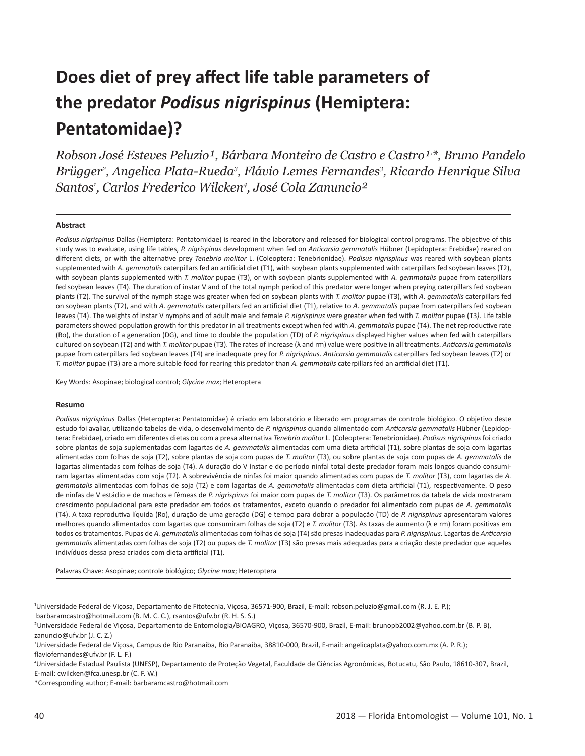# **Does diet of prey affect life table parameters of the predator** *Podisus nigrispinus* **(Hemiptera: Pentatomidae)?**

*Robson José Esteves Peluzio¹, Bárbara Monteiro de Castro e Castro¹, \*, Bruno Pandelo*  Brügger², Angelica Plata-Rueda<sup>3</sup>, Flávio Lemes Fernandes<sup>3</sup>, Ricardo Henrique Silva *Santos1 , Carlos Frederico Wilcken4 , José Cola Zanuncio²*

#### **Abstract**

*Podisus nigrispinus* Dallas (Hemiptera: Pentatomidae) is reared in the laboratory and released for biological control programs. The objective of this study was to evaluate, using life tables, *P. nigrispinus* development when fed on *Anticarsia gemmatalis* Hübner (Lepidoptera: Erebidae) reared on different diets, or with the alternative prey *Tenebrio molitor* L. (Coleoptera: Tenebrionidae). *Podisus nigrispinus* was reared with soybean plants supplemented with *A. gemmatalis* caterpillars fed an artificial diet (T1), with soybean plants supplemented with caterpillars fed soybean leaves (T2), with soybean plants supplemented with *T. molitor* pupae (T3), or with soybean plants supplemented with *A. gemmatalis* pupae from caterpillars fed soybean leaves (T4). The duration of instar V and of the total nymph period of this predator were longer when preying caterpillars fed soybean plants (T2). The survival of the nymph stage was greater when fed on soybean plants with *T. molitor* pupae (T3), with *A. gemmatalis* caterpillars fed on soybean plants (T2), and with *A. gemmatalis* caterpillars fed an artificial diet (T1), relative to *A. gemmatalis* pupae from caterpillars fed soybean leaves (T4). The weights of instar V nymphs and of adult male and female *P. nigrispinus* were greater when fed with *T. molitor* pupae (T3*)*. Life table parameters showed population growth for this predator in all treatments except when fed with *A. gemmatalis* pupae (T4). The net reproductive rate (Ro), the duration of a generation (DG), and time to double the population (TD) of *P. nigrispinus* displayed higher values when fed with caterpillars cultured on soybean (T2) and with *T. molitor* pupae (T3). The rates of increase (λ and rm) value were positive in all treatments. *Anticarsia gemmatalis* pupae from caterpillars fed soybean leaves (T4) are inadequate prey for *P. nigrispinus*. *Anticarsia gemmatalis* caterpillars fed soybean leaves (T2) or *T. molitor* pupae (T3) are a more suitable food for rearing this predator than *A. gemmatalis* caterpillars fed an artificial diet (T1).

Key Words: Asopinae; biological control; *Glycine max*; Heteroptera

#### **Resumo**

*Podisus nigrispinus* Dallas (Heteroptera: Pentatomidae) é criado em laboratório e liberado em programas de controle biológico. O objetivo deste estudo foi avaliar, utilizando tabelas de vida, o desenvolvimento de *P. nigrispinus* quando alimentado com *Anticarsia gemmatalis* Hübner (Lepidoptera: Erebidae), criado em diferentes dietas ou com a presa alternativa *Tenebrio molitor* L. (Coleoptera: Tenebrionidae). *Podisus nigrispinus* foi criado sobre plantas de soja suplementadas com lagartas de *A. gemmatalis* alimentadas com uma dieta artificial (T1), sobre plantas de soja com lagartas alimentadas com folhas de soja (T2), sobre plantas de soja com pupas de *T. molitor* (T3), ou sobre plantas de soja com pupas de *A. gemmatalis* de lagartas alimentadas com folhas de soja (T4). A duração do V ínstar e do período ninfal total deste predador foram mais longos quando consumiram lagartas alimentadas com soja (T2). A sobrevivência de ninfas foi maior quando alimentadas com pupas de *T. molitor* (T3), com lagartas de *A. gemmatalis* alimentadas com folhas de soja (T2) e com lagartas de *A. gemmatalis* alimentadas com dieta artificial (T1), respectivamente. O peso de ninfas de V estádio e de machos e fêmeas de *P. nigrispinus* foi maior com pupas de *T. molitor* (T3). Os parâmetros da tabela de vida mostraram crescimento populacional para este predador em todos os tratamentos, exceto quando o predador foi alimentado com pupas de *A. gemmatalis* (T4). A taxa reprodutiva líquida (Ro), duração de uma geração (DG) e tempo para dobrar a população (TD) de *P. nigrispinus* apresentaram valores melhores quando alimentados com lagartas que consumiram folhas de soja (T2) e *T. molitor* (T3). As taxas de aumento (λ e rm) foram positivas em todos os tratamentos. Pupas de *A. gemmatalis* alimentadas com folhas de soja (T4) são presas inadequadas para *P. nigrispinus*. Lagartas de *Anticarsia gemmatalis* alimentadas com folhas de soja (T2) ou pupas de *T. molitor* (T3) são presas mais adequadas para a criação deste predador que aqueles indivíduos dessa presa criados com dieta artificial (T1).

Palavras Chave: Asopinae; controle biológico; *Glycine max*; Heteroptera

\*Corresponding author; E-mail: barbaramcastro@hotmail.com

<sup>&</sup>lt;sup>1</sup>Universidade Federal de Viçosa, Departamento de Fitotecnia, Viçosa, 36571-900, Brazil, E-mail: robson.peluzio@gmail.com (R. J. E. P.); barbaramcastro@hotmail.com (B. M. C. C.), rsantos@ufv.br (R. H. S. S.)

²Universidade Federal de Viçosa, Departamento de Entomologia/BIOAGRO, Viçosa, 36570-900, Brazil, E-mail: brunopb2002@yahoo.com.br (B. P. B), zanuncio@ufv.br (J. C. Z.)

<sup>3</sup> Universidade Federal de Viçosa, Campus de Rio Paranaíba, Rio Paranaíba, 38810-000, Brazil, E-mail: angelicaplata@yahoo.com.mx (A. P. R.); flaviofernandes@ufv.br (F. L. F.)

<sup>4</sup> Universidade Estadual Paulista (UNESP), Departamento de Proteção Vegetal, Faculdade de Ciências Agronômicas, Botucatu, São Paulo, 18610-307, Brazil, E-mail: cwilcken@fca.unesp.br (C. F. W.)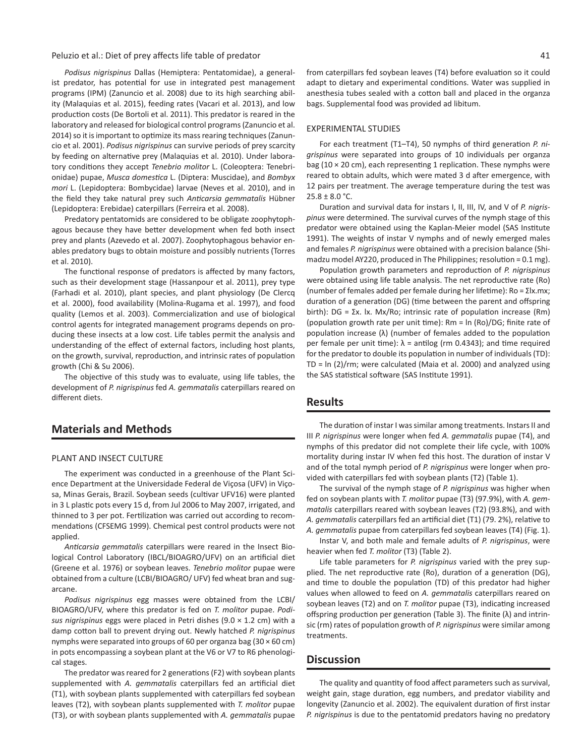#### Peluzio et al.: Diet of prey affects life table of predator  $41$

*Podisus nigrispinus* Dallas (Hemiptera: Pentatomidae), a generalist predator, has potential for use in integrated pest management programs (IPM) (Zanuncio et al. 2008) due to its high searching ability (Malaquias et al. 2015), feeding rates (Vacari et al. 2013), and low production costs (De Bortoli et al. 2011). This predator is reared in the laboratory and released for biological control programs (Zanuncio et al. 2014) so it is important to optimize its mass rearing techniques (Zanuncio et al. 2001). *Podisus nigrispinus* can survive periods of prey scarcity by feeding on alternative prey (Malaquias et al. 2010). Under laboratory conditions they accept *Tenebrio molitor* L. (Coleoptera: Tenebrionidae) pupae, *Musca domestica* L. (Diptera: Muscidae), and *Bombyx mori* L. (Lepidoptera: Bombycidae) larvae (Neves et al. 2010), and in the field they take natural prey such *Anticarsia gemmatalis* Hübner (Lepidoptera: Erebidae) caterpillars (Ferreira et al. 2008).

Predatory pentatomids are considered to be obligate zoophytophagous because they have better development when fed both insect prey and plants (Azevedo et al. 2007). Zoophytophagous behavior enables predatory bugs to obtain moisture and possibly nutrients (Torres et al. 2010).

The functional response of predators is affected by many factors, such as their development stage (Hassanpour et al. 2011), prey type (Farhadi et al. 2010), plant species, and plant physiology (De Clercq et al. 2000), food availability (Molina-Rugama et al. 1997), and food quality (Lemos et al. 2003). Commercialization and use of biological control agents for integrated management programs depends on producing these insects at a low cost. Life tables permit the analysis and understanding of the effect of external factors, including host plants, on the growth, survival, reproduction, and intrinsic rates of population growth (Chi & Su 2006).

The objective of this study was to evaluate, using life tables, the development of *P. nigrispinus* fed *A. gemmatalis* caterpillars reared on different diets.

# **Materials and Methods**

#### PLANT AND INSECT CULTURE

The experiment was conducted in a greenhouse of the Plant Science Department at the Universidade Federal de Viçosa (UFV) in Viçosa, Minas Gerais, Brazil. Soybean seeds (cultivar UFV16) were planted in 3 L plastic pots every 15 d, from Jul 2006 to May 2007, irrigated, and thinned to 3 per pot. Fertilization was carried out according to recommendations (CFSEMG 1999). Chemical pest control products were not applied.

*Anticarsia gemmatalis* caterpillars were reared in the Insect Biological Control Laboratory (IBCL/BIOAGRO/UFV) on an artificial diet (Greene et al. 1976) or soybean leaves. *Tenebrio molitor* pupae were obtained from a culture (LCBI/BIOAGRO/ UFV) fed wheat bran and sugarcane.

*Podisus nigrispinus* egg masses were obtained from the LCBI/ BIOAGRO/UFV, where this predator is fed on *T. molitor* pupae. *Podisus nigrispinus* eggs were placed in Petri dishes (9.0 × 1.2 cm) with a damp cotton ball to prevent drying out. Newly hatched *P. nigrispinus* nymphs were separated into groups of 60 per organza bag (30 × 60 cm) in pots encompassing a soybean plant at the V6 or V7 to R6 phenological stages.

The predator was reared for 2 generations (F2) with soybean plants supplemented with *A. gemmatalis* caterpillars fed an artificial diet (T1), with soybean plants supplemented with caterpillars fed soybean leaves (T2), with soybean plants supplemented with *T. molitor* pupae (T3), or with soybean plants supplemented with *A. gemmatalis* pupae from caterpillars fed soybean leaves (T4) before evaluation so it could adapt to dietary and experimental conditions. Water was supplied in anesthesia tubes sealed with a cotton ball and placed in the organza bags. Supplemental food was provided ad libitum.

#### EXPERIMENTAL STUDIES

For each treatment (T1–T4), 50 nymphs of third generation *P. nigrispinus* were separated into groups of 10 individuals per organza bag (10  $\times$  20 cm), each representing 1 replication. These nymphs were reared to obtain adults, which were mated 3 d after emergence, with 12 pairs per treatment. The average temperature during the test was  $25.8 \pm 8.0$  °C.

Duration and survival data for instars I, II, III, IV, and V of *P. nigrispinus* were determined. The survival curves of the nymph stage of this predator were obtained using the Kaplan-Meier model (SAS Institute 1991). The weights of instar V nymphs and of newly emerged males and females *P. nigrispinus* were obtained with a precision balance (Shimadzu model AY220, produced in The Philippines; resolution = 0.1 mg).

Population growth parameters and reproduction of *P. nigrispinus* were obtained using life table analysis. The net reproductive rate (Ro) (number of females added per female during her lifetime): Ro = Σlx.mx; duration of a generation (DG) (time between the parent and offspring birth): DG = Σx. lx. Mx/Ro; intrinsic rate of population increase (Rm) (population growth rate per unit time): Rm = ln (Ro)/DG; finite rate of population increase (λ) (number of females added to the population per female per unit time):  $\lambda$  = antilog (rm 0.4343); and time required for the predator to double its population in number of individuals (TD): TD = ln (2)/rm; were calculated (Maia et al. 2000) and analyzed using the SAS statistical software (SAS Institute 1991).

### **Results**

The duration of instar I was similar among treatments. Instars II and III *P. nigrispinus* were longer when fed *A. gemmatalis* pupae (T4), and nymphs of this predator did not complete their life cycle, with 100% mortality during instar IV when fed this host. The duration of instar V and of the total nymph period of *P. nigrispinus* were longer when provided with caterpillars fed with soybean plants (T2) (Table 1).

The survival of the nymph stage of *P. nigrispinus* was higher when fed on soybean plants with *T. molitor* pupae (T3) (97.9%), with *A. gemmatalis* caterpillars reared with soybean leaves (T2) (93.8%), and with *A. gemmatalis* caterpillars fed an artificial diet (T1) (79. 2%), relative to *A. gemmatalis* pupae from caterpillars fed soybean leaves (T4) (Fig. 1).

Instar V, and both male and female adults of *P. nigrispinus*, were heavier when fed *T. molitor* (T3) (Table 2).

Life table parameters for *P. nigrispinus* varied with the prey supplied. The net reproductive rate (Ro), duration of a generation (DG), and time to double the population (TD) of this predator had higher values when allowed to feed on *A. gemmatalis* caterpillars reared on soybean leaves (T2) and on *T. molitor* pupae (T3), indicating increased offspring production per generation (Table 3). The finite (λ) and intrinsic (rm) rates of population growth of *P. nigrispinus* were similar among treatments.

## **Discussion**

The quality and quantity of food affect parameters such as survival, weight gain, stage duration, egg numbers, and predator viability and longevity (Zanuncio et al. 2002). The equivalent duration of first instar *P. nigrispinus* is due to the pentatomid predators having no predatory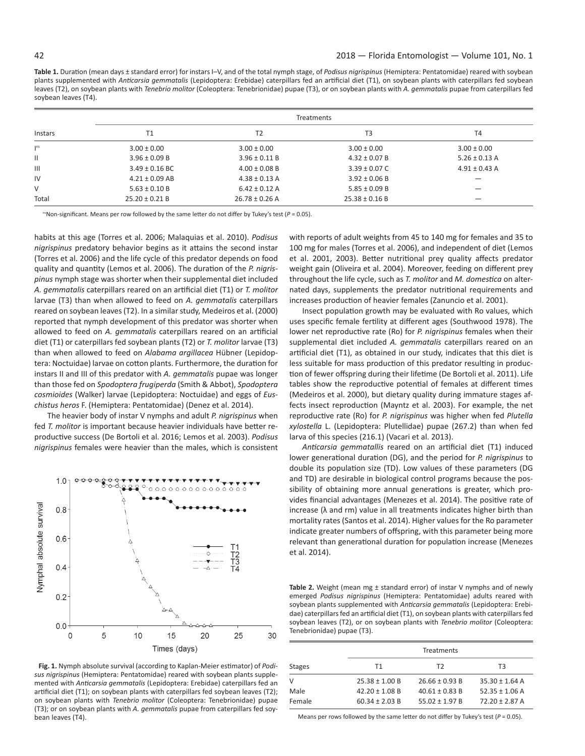**Table 1.** Duration (mean days ± standard error) for instars I–V, and of the total nymph stage, of *Podisus nigrispinus* (Hemiptera: Pentatomidae) reared with soybean plants supplemented with *Anticarsia gemmatalis* (Lepidoptera: Erebidae) caterpillars fed an artificial diet (T1), on soybean plants with caterpillars fed soybean leaves (T2), on soybean plants with *Tenebrio molitor* (Coleoptera: Tenebrionidae) pupae (T3), or on soybean plants with *A. gemmatalis* pupae from caterpillars fed soybean leaves (T4).

| Instars                    | <b>Treatments</b>  |                    |                    |                   |  |
|----------------------------|--------------------|--------------------|--------------------|-------------------|--|
|                            | T1                 | T <sub>2</sub>     | T3                 | T <sub>4</sub>    |  |
| $\mathsf{I}^{\mathsf{ns}}$ | $3.00 \pm 0.00$    | $3.00 \pm 0.00$    | $3.00 \pm 0.00$    | $3.00 \pm 0.00$   |  |
| Ш                          | $3.96 \pm 0.09 B$  | $3.96 \pm 0.11 B$  | $4.32 \pm 0.07 B$  | $5.26 \pm 0.13$ A |  |
| Ш                          | $3.49 \pm 0.16$ BC | $4.00 \pm 0.08$ B  | $3.39 \pm 0.07$ C  | $4.91 \pm 0.43$ A |  |
| IV                         | $4.21 \pm 0.09$ AB | $4.38 \pm 0.13$ A  | $3.92 \pm 0.06 B$  | -                 |  |
| V                          | $5.63 \pm 0.10 B$  | $6.42 \pm 0.12$ A  | $5.85 \pm 0.09 B$  |                   |  |
| Total                      | $25.20 \pm 0.21 B$ | $26.78 \pm 0.26$ A | $25.38 \pm 0.16 B$ | -                 |  |

<sup>ns</sup> Non-significant. Means per row followed by the same letter do not differ by Tukey's test ( $P = 0.05$ ).

habits at this age (Torres et al. 2006; Malaquias et al. 2010). *Podisus nigrispinus* predatory behavior begins as it attains the second instar (Torres et al. 2006) and the life cycle of this predator depends on food quality and quantity (Lemos et al. 2006). The duration of the *P. nigrispinus* nymph stage was shorter when their supplemental diet included *A. gemmatalis* caterpillars reared on an artificial diet (T1) or *T. molitor* larvae (T3) than when allowed to feed on *A. gemmatalis* caterpillars reared on soybean leaves (T2). In a similar study, Medeiros et al. (2000) reported that nymph development of this predator was shorter when allowed to feed on *A. gemmatalis* caterpillars reared on an artificial diet (T1) or caterpillars fed soybean plants (T2) or *T. molitor* larvae (T3) than when allowed to feed on *Alabama argillacea* Hübner (Lepidoptera: Noctuidae) larvae on cotton plants. Furthermore, the duration for instars II and III of this predator with *A. gemmatalis* pupae was longer than those fed on *Spodoptera frugiperda* (Smith & Abbot), *Spodoptera cosmioides* (Walker) larvae (Lepidoptera: Noctuidae) and eggs of *Euschistus heros* F. (Hemiptera: Pentatomidae) (Denez et al. 2014).

The heavier body of instar V nymphs and adult *P. nigrispinus* when fed *T. molitor* is important because heavier individuals have better reproductive success (De Bortoli et al. 2016; Lemos et al. 2003). *Podisus nigrispinus* females were heavier than the males, which is consistent



**Fig. 1.** Nymph absolute survival (according to Kaplan-Meier estimator) of *Podisus nigrispinus* (Hemiptera: Pentatomidae) reared with soybean plants supplemented with *Anticarsia gemmatalis* (Lepidoptera: Erebidae) caterpillars fed an artificial diet (T1); on soybean plants with caterpillars fed soybean leaves (T2); on soybean plants with *Tenebrio molitor* (Coleoptera: Tenebrionidae) pupae (T3); or on soybean plants with *A. gemmatalis* pupae from caterpillars fed soybean leaves (T4).

with reports of adult weights from 45 to 140 mg for females and 35 to 100 mg for males (Torres et al. 2006), and independent of diet (Lemos et al. 2001, 2003). Better nutritional prey quality affects predator weight gain (Oliveira et al. 2004). Moreover, feeding on different prey throughout the life cycle, such as *T. molitor* and *M. domestica* on alternated days, supplements the predator nutritional requirements and increases production of heavier females (Zanuncio et al. 2001).

Insect population growth may be evaluated with Ro values, which uses specific female fertility at different ages (Southwood 1978). The lower net reproductive rate (Ro) for *P. nigrispinus* females when their supplemental diet included *A. gemmatalis* caterpillars reared on an artificial diet (T1), as obtained in our study, indicates that this diet is less suitable for mass production of this predator resulting in production of fewer offspring during their lifetime (De Bortoli et al. 2011). Life tables show the reproductive potential of females at different times (Medeiros et al. 2000), but dietary quality during immature stages affects insect reproduction (Mayntz et al. 2003). For example, the net reproductive rate (Ro) for *P. nigrispinus* was higher when fed *Plutella xylostella* L. (Lepidoptera: Plutellidae) pupae (267.2) than when fed larva of this species (216.1) (Vacari et al. 2013).

*Anticarsia gemmatallis* reared on an artificial diet (T1) induced lower generational duration (DG), and the period for *P. nigrispinus* to double its population size (TD). Low values of these parameters (DG and TD) are desirable in biological control programs because the possibility of obtaining more annual generations is greater, which provides financial advantages (Menezes et al. 2014). The positive rate of increase ( $\lambda$  and rm) value in all treatments indicates higher birth than mortality rates (Santos et al. 2014). Higher values for the Ro parameter indicate greater numbers of offspring, with this parameter being more relevant than generational duration for population increase (Menezes et al. 2014).

**Table 2.** Weight (mean mg ± standard error) of instar V nymphs and of newly emerged *Podisus nigrispinus* (Hemiptera: Pentatomidae) adults reared with soybean plants supplemented with *Anticarsia gemmatalis* (Lepidoptera: Erebidae) caterpillars fed an artificial diet (T1), on soybean plants with caterpillars fed soybean leaves (T2), or on soybean plants with *Tenebrio molitor* (Coleoptera: Tenebrionidae) pupae (T3).

|               | Treatments         |                    |                    |  |  |
|---------------|--------------------|--------------------|--------------------|--|--|
| <b>Stages</b> | T1                 | T2                 | ΤЗ                 |  |  |
| $\vee$        | $25.38 \pm 1.00 B$ | $26.66 \pm 0.93 B$ | $35.30 \pm 1.64$ A |  |  |
| Male          | $42.20 \pm 1.08$ B | $40.61 \pm 0.83 B$ | $52.35 \pm 1.06$ A |  |  |
| Female        | $60.34 \pm 2.03 B$ | $55.02 \pm 1.97 B$ | $72.20 \pm 2.87$ A |  |  |

Means per rows followed by the same letter do not differ by Tukey's test  $(P = 0.05)$ .